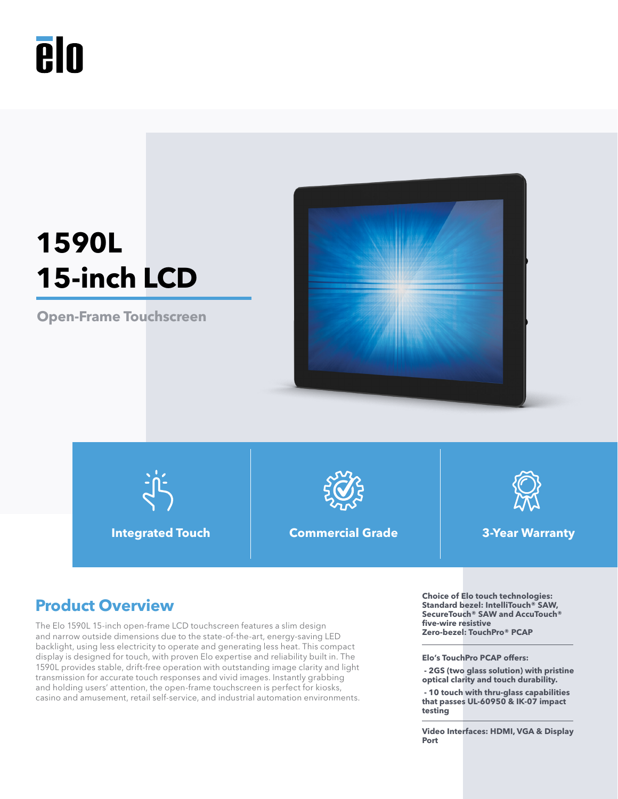

# **1590L 15-inch LCD**

**Open-Frame Touchscreen**





**Integrated Touch Commercial Grade 3-Year Warranty**



The Elo 1590L 15-inch open-frame LCD touchscreen features a slim design and narrow outside dimensions due to the state-of-the-art, energy-saving LED backlight, using less electricity to operate and generating less heat. This compact display is designed for touch, with proven Elo expertise and reliability built in. The 1590L provides stable, drift-free operation with outstanding image clarity and light transmission for accurate touch responses and vivid images. Instantly grabbing and holding users' attention, the open-frame touchscreen is perfect for kiosks, casino and amusement, retail self-service, and industrial automation environments.

**Product Overview**<br> **Product Overview**<br>
Standard bezel: IntelliTouch® SAW, and AccuTouch® **SecureTouch® SAW and AccuTouch® five-wire resistive Zero-bezel: TouchPro® PCAP**

**Elo's TouchPro PCAP offers:** 

 **- 2GS (two glass solution) with pristine optical clarity and touch durability.**

 **- 10 touch with thru-glass capabilities that passes UL-60950 & IK-07 impact testing**

**Video Interfaces: HDMI, VGA & Display Port**